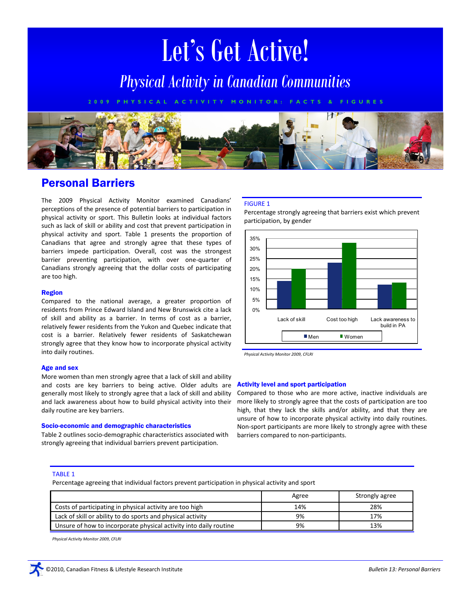# Let's Get Active!

*Physical Activity in Canadian Communities*

**2 0 0 9 P H Y S I C A L A C T I V I T Y M O N I T O R : F A C T S & F I G U R E S**



# Personal Barriers

The 2009 Physical Activity Monitor examined Canadians' perceptions of the presence of potential barriers to participation in physical activity or sport. This Bulletin looks at individual factors such as lack of skill or ability and cost that prevent participation in physical activity and sport. Table 1 presents the proportion of Canadians that agree and strongly agree that these types of barriers impede participation. Overall, cost was the strongest barrier preventing participation, with over one-quarter of Canadians strongly agreeing that the dollar costs of participating are too high.

# Region

Compared to the national average, a greater proportion of residents from Prince Edward Island and New Brunswick cite a lack of skill and ability as a barrier. In terms of cost as a barrier, relatively fewer residents from the Yukon and Quebec indicate that cost is a barrier. Relatively fewer residents of Saskatchewan strongly agree that they know how to incorporate physical activity into daily routines.

# Age and sex

More women than men strongly agree that a lack of skill and ability and costs are key barriers to being active. Older adults are generally most likely to strongly agree that a lack of skill and ability and lack awareness about how to build physical activity into their daily routine are key barriers.

#### Socio-economic and demographic characteristics

Table 2 outlines socio-demographic characteristics associated with strongly agreeing that individual barriers prevent participation.

# FIGURE 1

Percentage strongly agreeing that barriers exist which prevent participation, by gender



*Physical Activity Monitor 2009, CFLRI*

#### Activity level and sport participation

Compared to those who are more active, inactive individuals are more likely to strongly agree that the costs of participation are too high, that they lack the skills and/or ability, and that they are unsure of how to incorporate physical activity into daily routines. Non-sport participants are more likely to strongly agree with these barriers compared to non-participants.

#### TABLE 1

Percentage agreeing that individual factors prevent participation in physical activity and sport

|                                                                   | Agree | Strongly agree |
|-------------------------------------------------------------------|-------|----------------|
| Costs of participating in physical activity are too high          | 14%   | 28%            |
| Lack of skill or ability to do sports and physical activity       | 9%    | 17%            |
| Unsure of how to incorporate physical activity into daily routine | 9%    | 13%            |

*Physical Activity Monitor 2009, CFLRI*

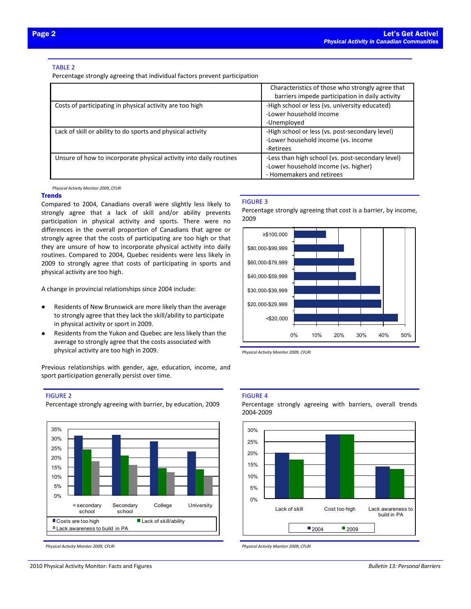# TABLE 2

Percentage strongly agreeing that individual factors prevent participation

|                                                                    | Characteristics of those who strongly agree that<br>barriers impede participation in daily activity                    |
|--------------------------------------------------------------------|------------------------------------------------------------------------------------------------------------------------|
| Costs of participating in physical activity are too high           | -High school or less (vs. university educated)<br>-Lower household income<br>-Unemployed                               |
| Lack of skill or ability to do sports and physical activity        | -High school or less (vs. post-secondary level)<br>-Lower household income (vs. income<br>-Retirees                    |
| Unsure of how to incorporate physical activity into daily routines | -Less than high school (vs. post-secondary level)<br>-Lower household income (vs. higher)<br>- Homemakers and retirees |

*Physical Activity Monitor 2009, CFLRI*

#### **Trends**

Compared to 2004, Canadians overall were slightly less likely to strongly agree that a lack of skill and/or ability prevents participation in physical activity and sports. There were no differences in the overall proportion of Canadians that agree or strongly agree that the costs of participating are too high or that they are unsure of how to incorporate physical activity into daily routines. Compared to 2004, Quebec residents were less likely in 2009 to strongly agree that costs of participating in sports and physical activity are too high.

A change in provincial relationships since 2004 include:

- Residents of New Brunswick are more likely than the average to strongly agree that they lack the skill/ability to participate in physical activity or sport in 2009.
- Residents from the Yukon and Quebec are less likely than the average to strongly agree that the costs associated with physical activity are too high in 2009.

Previous relationships with gender, age, education, income, and sport participation generally persist over time.

#### FIGURE 2

Percentage strongly agreeing with barrier, by education, 2009



*Physical Activity Monitor 2009, CFLRI*

# FIGURE 3

Percentage strongly agreeing that cost is a barrier, by income, 2009



*Physical Activity Monitor 2009, CFLRI*

# FIGURE 4

Percentage strongly agreeing with barriers, overall trends 2004-2009



*Physical Activity Monitor 2009, CFLRI*